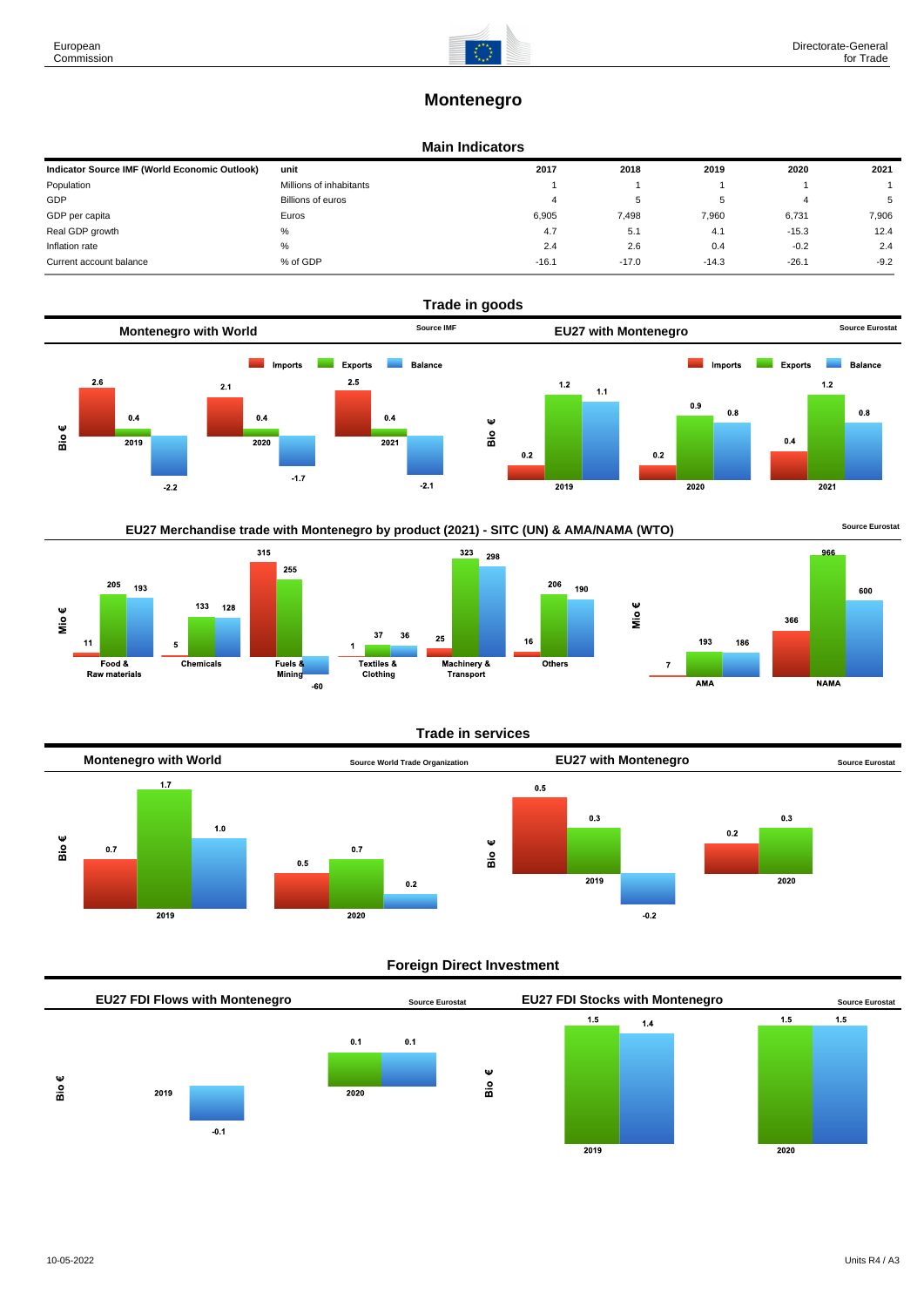600

# **Montenegro**

## **Main Indicators**

| Indicator Source IMF (World Economic Outlook) | unit                    | 2017    | 2018    | 2019    | 2020    | 2021   |
|-----------------------------------------------|-------------------------|---------|---------|---------|---------|--------|
| Population                                    | Millions of inhabitants |         |         |         |         |        |
| GDP                                           | Billions of euros       |         | ь       |         | 4       | 5      |
| GDP per capita                                | Euros                   | 6.905   | 7,498   | 7,960   | 6,731   | 7,906  |
| Real GDP growth                               | %                       | 4.7     | 5.1     | 4.1     | $-15.3$ | 12.4   |
| Inflation rate                                | %                       | 2.4     | 2.6     | 0.4     | $-0.2$  | 2.4    |
| Current account balance                       | % of GDP                | $-16.1$ | $-17.0$ | $-14.3$ | $-26.1$ | $-9.2$ |



EU27 Merchandise trade with Montenegro by product (2021) - SITC (UN) & AMA/NAMA (WTO) **Source Eurostat** 



### **Trade in services**



### **Foreign Direct Investment**